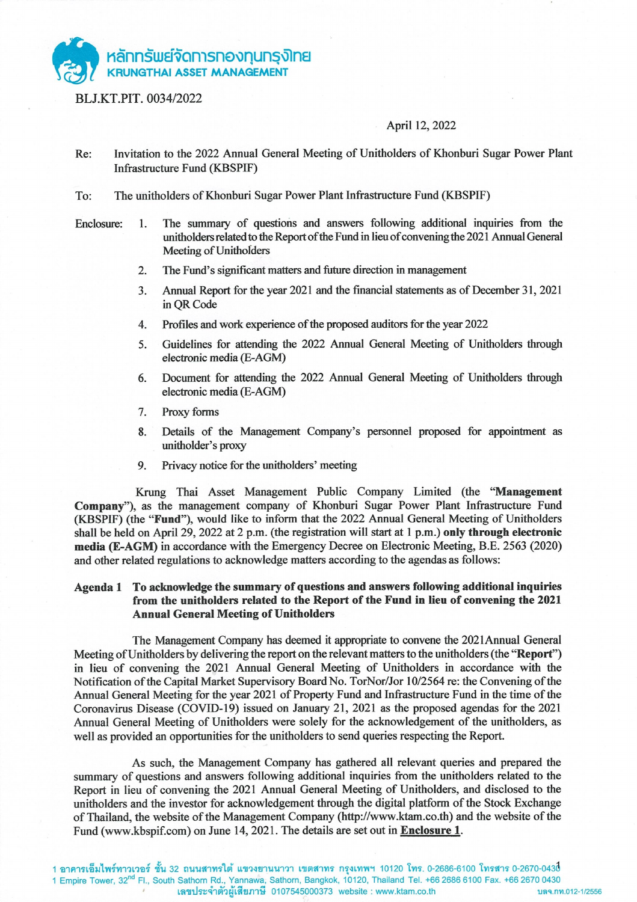

BLJ.KT.PIT. 0034/2022

### April 12, 2022

- Re: Invitation to the 2022 Annual General Meeting of Unitholders of Khonburi Sugar Power Plant Infrastructure Fund (KBSPIF)
- The unitholders of Khonburi Sugar Power Plant Infrastructure Fund (KBSPIF) To:
- The summary of questions and answers following additional inquiries from the Enclosure: 1. unitholders related to the Report of the Fund in lieu of convening the 2021 Annual General Meeting of Unitholders
	- $2.$ The Fund's significant matters and future direction in management
	- Annual Report for the year 2021 and the financial statements as of December 31, 2021  $3.$ in OR Code
	- Profiles and work experience of the proposed auditors for the year 2022 4.
	- 5. Guidelines for attending the 2022 Annual General Meeting of Unitholders through electronic media (E-AGM)
	- Document for attending the 2022 Annual General Meeting of Unitholders through 6. electronic media (E-AGM)
	- Proxy forms 7.
	- 8. Details of the Management Company's personnel proposed for appointment as unitholder's proxy
	- Privacy notice for the unitholders' meeting 9.

Krung Thai Asset Management Public Company Limited (the "Management Company"), as the management company of Khonburi Sugar Power Plant Infrastructure Fund (KBSPIF) (the "Fund"), would like to inform that the 2022 Annual General Meeting of Unitholders shall be held on April 29, 2022 at 2 p.m. (the registration will start at 1 p.m.) only through electronic media (E-AGM) in accordance with the Emergency Decree on Electronic Meeting, B.E. 2563 (2020) and other related regulations to acknowledge matters according to the agendas as follows:

#### To acknowledge the summary of questions and answers following additional inquiries Agenda 1 from the unitholders related to the Report of the Fund in lieu of convening the 2021 **Annual General Meeting of Unitholders**

The Management Company has deemed it appropriate to convene the 2021Annual General Meeting of Unitholders by delivering the report on the relevant matters to the unitholders (the "Report") in lieu of convening the 2021 Annual General Meeting of Unitholders in accordance with the Notification of the Capital Market Supervisory Board No. TorNor/Jor 10/2564 re: the Convening of the Annual General Meeting for the year 2021 of Property Fund and Infrastructure Fund in the time of the Coronavirus Disease (COVID-19) issued on January 21, 2021 as the proposed agendas for the 2021 Annual General Meeting of Unitholders were solely for the acknowledgement of the unitholders, as well as provided an opportunities for the unitholders to send queries respecting the Report.

As such, the Management Company has gathered all relevant queries and prepared the summary of questions and answers following additional inquiries from the unitholders related to the Report in lieu of convening the 2021 Annual General Meeting of Unitholders, and disclosed to the unitholders and the investor for acknowledgement through the digital platform of the Stock Exchange of Thailand, the website of the Management Company (http://www.ktam.co.th) and the website of the Fund (www.kbspif.com) on June 14, 2021. The details are set out in Enclosure 1.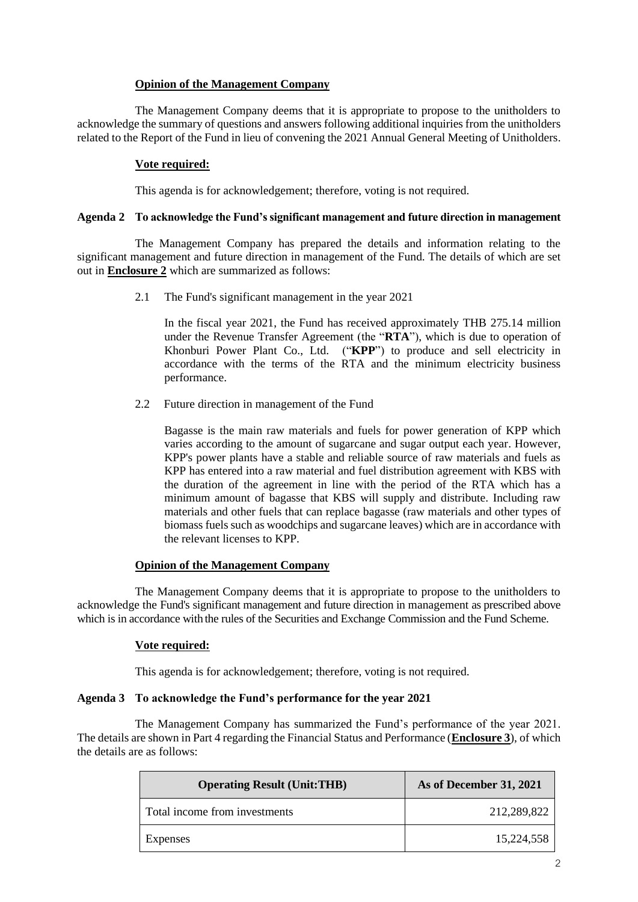# **Opinion of the Management Company**

The Management Company deems that it is appropriate to propose to the unitholders to acknowledge the summary of questions and answers following additional inquiries from the unitholders related to the Report of the Fund in lieu of convening the 2021 Annual General Meeting of Unitholders.

# **Vote required:**

This agenda is for acknowledgement; therefore, voting is not required.

# **Agenda 2 To acknowledge the Fund's significant management and future direction in management**

The Management Company has prepared the details and information relating to the significant management and future direction in management of the Fund. The details of which are set out in **Enclosure 2** which are summarized as follows:

2.1 The Fund's significant management in the year 2021

In the fiscal year 2021, the Fund has received approximately THB 275.14 million under the Revenue Transfer Agreement (the "**RTA**"), which is due to operation of Khonburi Power Plant Co., Ltd. ("**KPP**") to produce and sell electricity in accordance with the terms of the RTA and the minimum electricity business performance.

2.2 Future direction in management of the Fund

Bagasse is the main raw materials and fuels for power generation of KPP which varies according to the amount of sugarcane and sugar output each year. However, KPP's power plants have a stable and reliable source of raw materials and fuels as KPP has entered into a raw material and fuel distribution agreement with KBS with the duration of the agreement in line with the period of the RTA which has a minimum amount of bagasse that KBS will supply and distribute. Including raw materials and other fuels that can replace bagasse (raw materials and other types of biomass fuels such as woodchips and sugarcane leaves) which are in accordance with the relevant licenses to KPP.

# **Opinion of the Management Company**

The Management Company deems that it is appropriate to propose to the unitholders to acknowledge the Fund's significant management and future direction in management as prescribed above which is in accordance with the rules of the Securities and Exchange Commission and the Fund Scheme.

# **Vote required:**

This agenda is for acknowledgement; therefore, voting is not required.

# **Agenda 3 To acknowledge the Fund's performance for the year 2021**

The Management Company has summarized the Fund's performance of the year 2021. The details are shown in Part 4 regarding the Financial Status and Performance (**Enclosure 3**), of which the details are as follows:

| <b>Operating Result (Unit:THB)</b> | As of December 31, 2021 |
|------------------------------------|-------------------------|
| Total income from investments      | 212,289,822             |
| Expenses                           | 15.224.558              |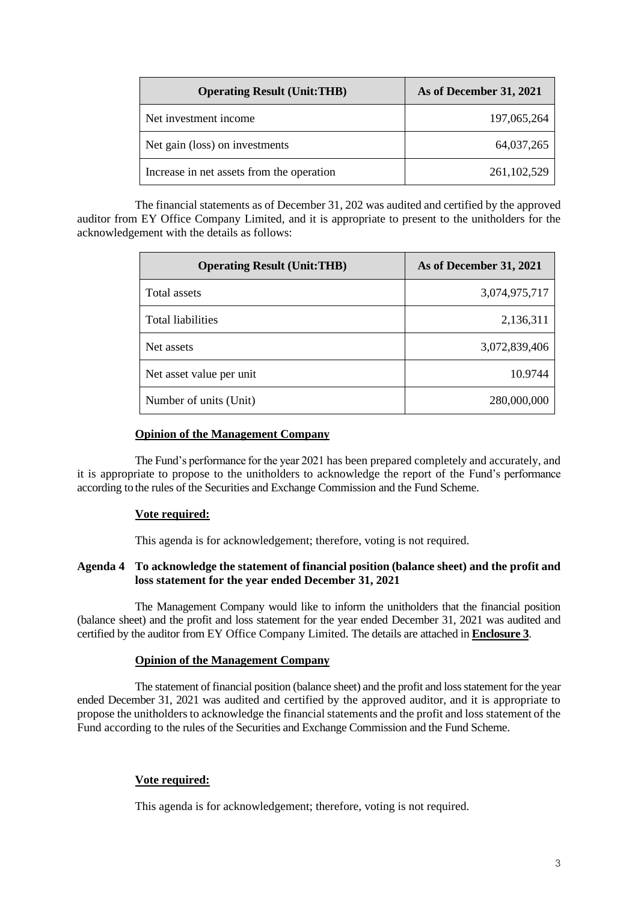| <b>Operating Result (Unit:THB)</b>        | As of December 31, 2021 |
|-------------------------------------------|-------------------------|
| Net investment income                     | 197,065,264             |
| Net gain (loss) on investments            | 64,037,265              |
| Increase in net assets from the operation | 261, 102, 529           |

The financial statements as of December 31, 202 was audited and certified by the approved auditor from EY Office Company Limited, and it is appropriate to present to the unitholders for the acknowledgement with the details as follows:

| <b>Operating Result (Unit:THB)</b> | As of December 31, 2021 |
|------------------------------------|-------------------------|
| Total assets                       | 3,074,975,717           |
| Total liabilities                  | 2,136,311               |
| Net assets                         | 3,072,839,406           |
| Net asset value per unit           | 10.9744                 |
| Number of units (Unit)             | 280,000,000             |

# **Opinion of the Management Company**

The Fund's performance for the year 2021 has been prepared completely and accurately, and it is appropriate to propose to the unitholders to acknowledge the report of the Fund's performance according to the rules of the Securities and Exchange Commission and the Fund Scheme.

#### **Vote required:**

This agenda is for acknowledgement; therefore, voting is not required.

### **Agenda 4 To acknowledge the statement of financial position (balance sheet) and the profit and loss statement for the year ended December 31, 2021**

The Management Company would like to inform the unitholders that the financial position (balance sheet) and the profit and loss statement for the year ended December 31, 2021 was audited and certified by the auditor from EY Office Company Limited. The details are attached in **Enclosure 3**.

#### **Opinion of the Management Company**

The statement of financial position (balance sheet) and the profit and loss statement for the year ended December 31, 2021 was audited and certified by the approved auditor, and it is appropriate to propose the unitholders to acknowledge the financial statements and the profit and loss statement of the Fund according to the rules of the Securities and Exchange Commission and the Fund Scheme.

# **Vote required:**

This agenda is for acknowledgement; therefore, voting is not required.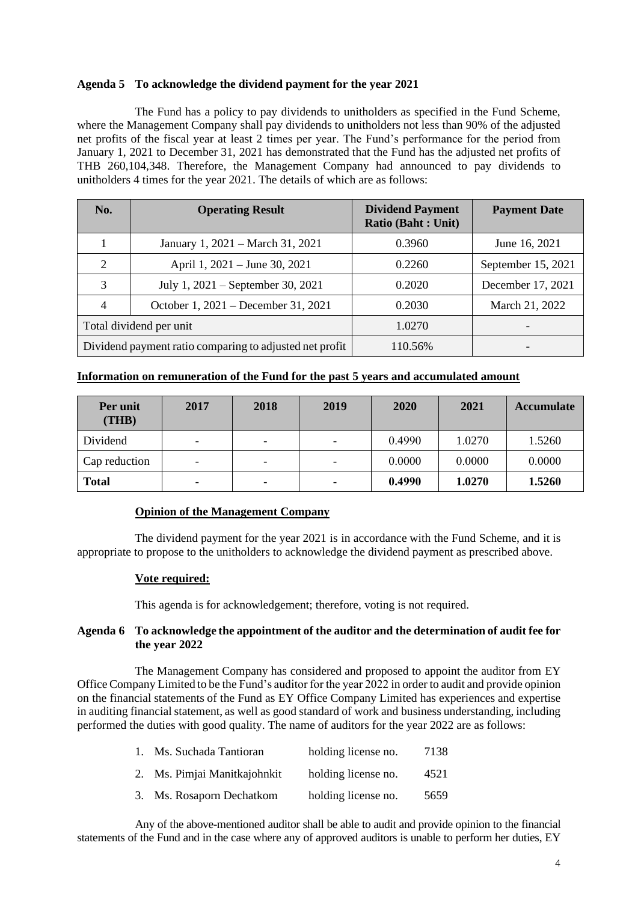# **Agenda 5 To acknowledge the dividend payment for the year 2021**

The Fund has a policy to pay dividends to unitholders as specified in the Fund Scheme, where the Management Company shall pay dividends to unitholders not less than 90% of the adjusted net profits of the fiscal year at least 2 times per year. The Fund's performance for the period from January 1, 2021 to December 31, 2021 has demonstrated that the Fund has the adjusted net profits of THB 260,104,348. Therefore, the Management Company had announced to pay dividends to unitholders 4 times for the year 2021. The details of which are as follows:

| No.                                                     | <b>Operating Result</b>             | <b>Dividend Payment</b><br><b>Ratio (Baht: Unit)</b> | <b>Payment Date</b> |
|---------------------------------------------------------|-------------------------------------|------------------------------------------------------|---------------------|
|                                                         | January 1, 2021 – March 31, 2021    | 0.3960                                               | June 16, 2021       |
| $\mathcal{D}$                                           | April 1, 2021 – June 30, 2021       | 0.2260                                               | September 15, 2021  |
| 3                                                       | July 1, 2021 – September 30, 2021   | 0.2020                                               | December 17, 2021   |
| 4                                                       | October 1, 2021 – December 31, 2021 | 0.2030                                               | March 21, 2022      |
| Total dividend per unit                                 |                                     | 1.0270                                               |                     |
| Dividend payment ratio comparing to adjusted net profit |                                     | 110.56%                                              |                     |

# **Information on remuneration of the Fund for the past 5 years and accumulated amount**

| Per unit<br>(THB) | 2017                     | 2018                     | 2019 | 2020   | 2021   | <b>Accumulate</b> |
|-------------------|--------------------------|--------------------------|------|--------|--------|-------------------|
| Dividend          | -                        | -                        |      | 0.4990 | 1.0270 | 1.5260            |
| Cap reduction     | $\overline{\phantom{0}}$ | -                        |      | 0.0000 | 0.0000 | 0.0000            |
| <b>Total</b>      | $\overline{\phantom{0}}$ | $\overline{\phantom{0}}$ |      | 0.4990 | 1.0270 | 1.5260            |

# **Opinion of the Management Company**

The dividend payment for the year 2021 is in accordance with the Fund Scheme, and it is appropriate to propose to the unitholders to acknowledge the dividend payment as prescribed above.

# **Vote required:**

This agenda is for acknowledgement; therefore, voting is not required.

# **Agenda 6 To acknowledge the appointment of the auditor and the determination of audit fee for the year 2022**

The Management Company has considered and proposed to appoint the auditor from EY Office Company Limited to be the Fund's auditor for the year 2022 in order to audit and provide opinion on the financial statements of the Fund as EY Office Company Limited has experiences and expertise in auditing financial statement, as well as good standard of work and business understanding, including performed the duties with good quality. The name of auditors for the year 2022 are as follows:

| 1. Ms. Suchada Tantioran     | holding license no. | 7138 |
|------------------------------|---------------------|------|
| 2. Ms. Pimjai Manitkajohnkit | holding license no. | 4521 |
| 3. Ms. Rosaporn Dechatkom    | holding license no. | 5659 |

Any of the above-mentioned auditor shall be able to audit and provide opinion to the financial statements of the Fund and in the case where any of approved auditors is unable to perform her duties, EY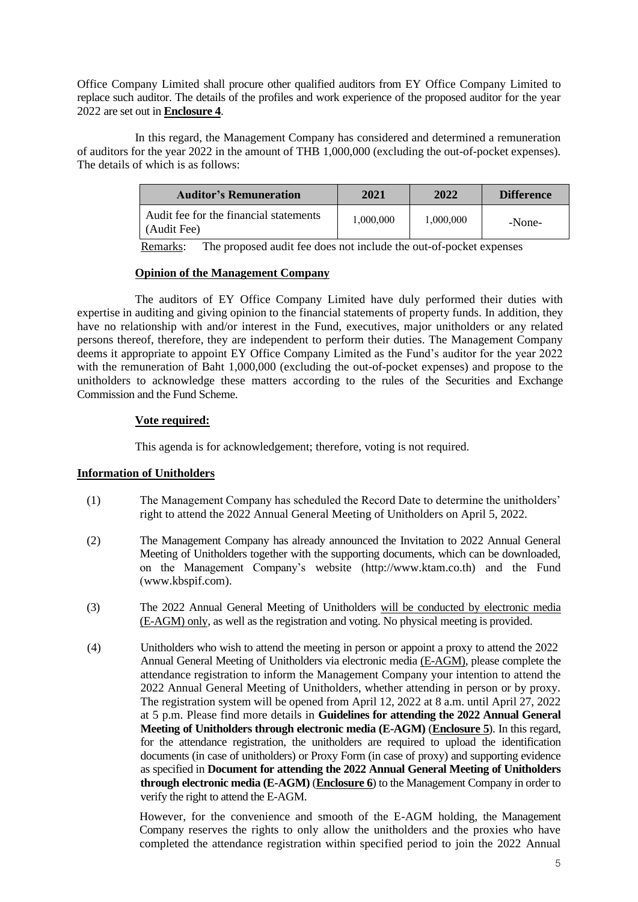Office Company Limited shall procure other qualified auditors from EY Office Company Limited to replace such auditor. The details of the profiles and work experience of the proposed auditor for the year 2022 are set out in **Enclosure 4**.

In this regard, the Management Company has considered and determined a remuneration of auditors for the year 2022 in the amount of THB 1,000,000 (excluding the out-of-pocket expenses). The details of which is as follows:

| <b>Auditor's Remuneration</b>                         | 2021      | 2022      | <b>Difference</b> |
|-------------------------------------------------------|-----------|-----------|-------------------|
| Audit fee for the financial statements<br>(Audit Fee) | 1,000,000 | 1,000,000 | -None-            |

Remarks: The proposed audit fee does not include the out-of-pocket expenses

# **Opinion of the Management Company**

The auditors of EY Office Company Limited have duly performed their duties with expertise in auditing and giving opinion to the financial statements of property funds. In addition, they have no relationship with and/or interest in the Fund, executives, major unitholders or any related persons thereof, therefore, they are independent to perform their duties. The Management Company deems it appropriate to appoint EY Office Company Limited as the Fund's auditor for the year 2022 with the remuneration of Baht 1,000,000 (excluding the out-of-pocket expenses) and propose to the unitholders to acknowledge these matters according to the rules of the Securities and Exchange Commission and the Fund Scheme.

# **Vote required:**

This agenda is for acknowledgement; therefore, voting is not required.

# **Information of Unitholders**

- (1) The Management Company has scheduled the Record Date to determine the unitholders' right to attend the 2022 Annual General Meeting of Unitholders on April 5, 2022.
- (2) The Management Company has already announced the Invitation to 2022 Annual General Meeting of Unitholders together with the supporting documents, which can be downloaded, on the Management Company's website (http://www.ktam.co.th) and the Fund (www.kbspif.com).
- (3) The 2022 Annual General Meeting of Unitholders will be conducted by electronic media (E-AGM) only, as well as the registration and voting. No physical meeting is provided.
- (4) Unitholders who wish to attend the meeting in person or appoint a proxy to attend the 2022 Annual General Meeting of Unitholders via electronic media (E-AGM), please complete the attendance registration to inform the Management Company your intention to attend the 2022 Annual General Meeting of Unitholders, whether attending in person or by proxy. The registration system will be opened from April 12, 2022 at 8 a.m. until April 27, 2022 at 5 p.m. Please find more details in **Guidelines for attending the 2022 Annual General Meeting of Unitholders through electronic media (E-AGM)** (**Enclosure 5**). In this regard, for the attendance registration, the unitholders are required to upload the identification documents (in case of unitholders) or Proxy Form (in case of proxy) and supporting evidence as specified in **Document for attending the 2022 Annual General Meeting of Unitholders through electronic media (E-AGM)** (**Enclosure 6**) to the Management Company in order to verify the right to attend the E-AGM.

However, for the convenience and smooth of the E-AGM holding, the Management Company reserves the rights to only allow the unitholders and the proxies who have completed the attendance registration within specified period to join the 2022 Annual